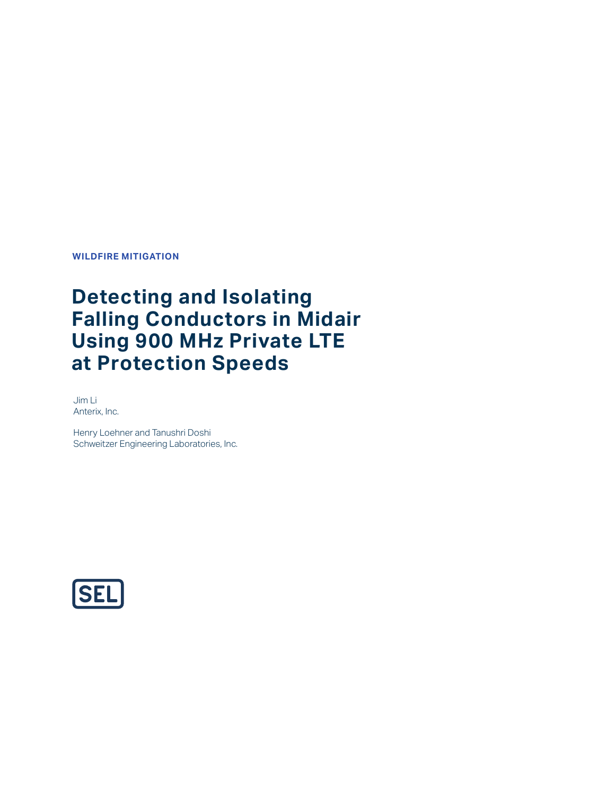**WILDFIRE MITIGATION**

# **Detecting and Isolating Falling Conductors in Midair Using 900 MHz Private LTE at Protection Speeds**

Jim Li Anterix, Inc.

Henry Loehner and Tanushri Doshi Schweitzer Engineering Laboratories, Inc.

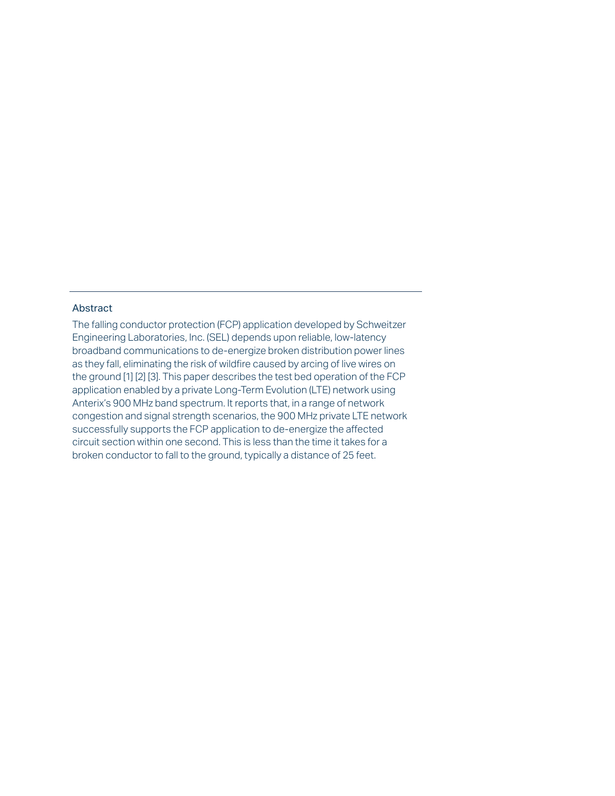## Abstract

The falling conductor protection (FCP) application developed by Schweitzer Engineering Laboratories, Inc. (SEL) depends upon reliable, low-latency broadband communications to de-energize broken distribution power lines as they fall, eliminating the risk of wildfire caused by arcing of live wires on the ground [1] [2] [3]. This paper describes the test bed operation of the FCP application enabled by a private Long-Term Evolution (LTE) network using Anterix's 900 MHz band spectrum. It reports that, in a range of network congestion and signal strength scenarios, the 900 MHz private LTE network successfully supports the FCP application to de-energize the affected circuit section within one second. This is less than the time it takes for a broken conductor to fall to the ground, typically a distance of 25 feet.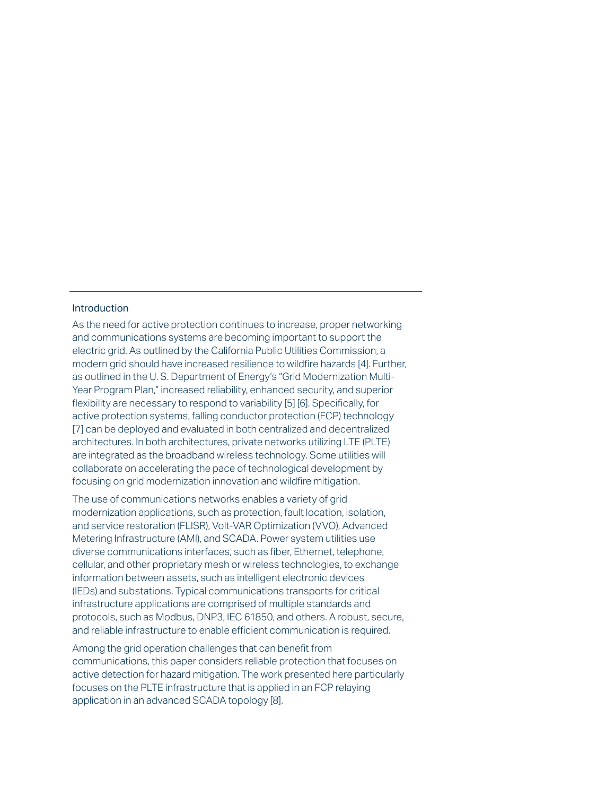## Introduction

As the need for active protection continues to increase, proper networking and communications systems are becoming important to support the electric grid. As outlined by the California Public Utilities Commission, a modern grid should have increased resilience to wildfire hazards [4]. Further, as outlined in the U. S. Department of Energy's "Grid Modernization Multi-Year Program Plan," increased reliability, enhanced security, and superior flexibility are necessary to respond to variability [5] [6]. Specifically, for active protection systems, falling conductor protection (FCP) technology [7] can be deployed and evaluated in both centralized and decentralized architectures. In both architectures, private networks utilizing LTE (PLTE) are integrated as the broadband wireless technology. Some utilities will collaborate on accelerating the pace of technological development by focusing on grid modernization innovation and wildfire mitigation.

The use of communications networks enables a variety of grid modernization applications, such as protection, fault location, isolation, and service restoration (FLISR), Volt-VAR Optimization (VVO), Advanced Metering Infrastructure (AMI), and SCADA. Power system utilities use diverse communications interfaces, such as fiber, Ethernet, telephone, cellular, and other proprietary mesh or wireless technologies, to exchange information between assets, such as intelligent electronic devices (IEDs) and substations. Typical communications transports for critical infrastructure applications are comprised of multiple standards and protocols, such as Modbus, DNP3, IEC 61850, and others. A robust, secure, and reliable infrastructure to enable efficient communication is required.

Among the grid operation challenges that can benefit from communications, this paper considers reliable protection that focuses on active detection for hazard mitigation. The work presented here particularly focuses on the PLTE infrastructure that is applied in an FCP relaying application in an advanced SCADA topology [8].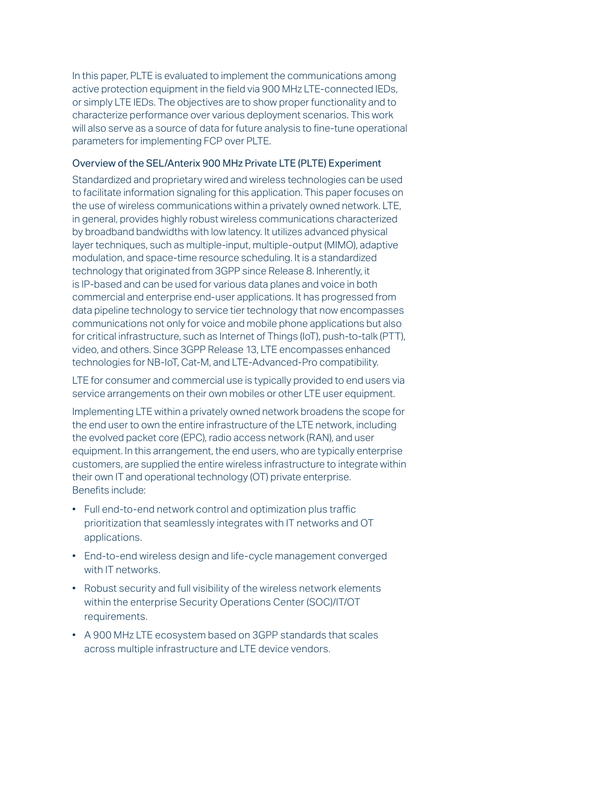In this paper, PLTE is evaluated to implement the communications among active protection equipment in the field via 900 MHz LTE-connected IEDs, or simply LTE IEDs. The objectives are to show proper functionality and to characterize performance over various deployment scenarios. This work will also serve as a source of data for future analysis to fine-tune operational parameters for implementing FCP over PLTE.

## Overview of the SEL/Anterix 900 MHz Private LTE (PLTE) Experiment

Standardized and proprietary wired and wireless technologies can be used to facilitate information signaling for this application. This paper focuses on the use of wireless communications within a privately owned network. LTE, in general, provides highly robust wireless communications characterized by broadband bandwidths with low latency. It utilizes advanced physical layer techniques, such as multiple-input, multiple-output (MIMO), adaptive modulation, and space-time resource scheduling. It is a standardized technology that originated from 3GPP since Release 8. Inherently, it is IP-based and can be used for various data planes and voice in both commercial and enterprise end-user applications. It has progressed from data pipeline technology to service tier technology that now encompasses communications not only for voice and mobile phone applications but also for critical infrastructure, such as Internet of Things (IoT), push-to-talk (PTT), video, and others. Since 3GPP Release 13, LTE encompasses enhanced technologies for NB-IoT, Cat-M, and LTE-Advanced-Pro compatibility.

LTE for consumer and commercial use is typically provided to end users via service arrangements on their own mobiles or other LTE user equipment.

Implementing LTE within a privately owned network broadens the scope for the end user to own the entire infrastructure of the LTE network, including the evolved packet core (EPC), radio access network (RAN), and user equipment. In this arrangement, the end users, who are typically enterprise customers, are supplied the entire wireless infrastructure to integrate within their own IT and operational technology (OT) private enterprise. Benefits include:

- Full end-to-end network control and optimization plus traffic prioritization that seamlessly integrates with IT networks and OT applications.
- End-to-end wireless design and life-cycle management converged with IT networks.
- Robust security and full visibility of the wireless network elements within the enterprise Security Operations Center (SOC)/IT/OT requirements.
- A 900 MHz LTE ecosystem based on 3GPP standards that scales across multiple infrastructure and LTE device vendors.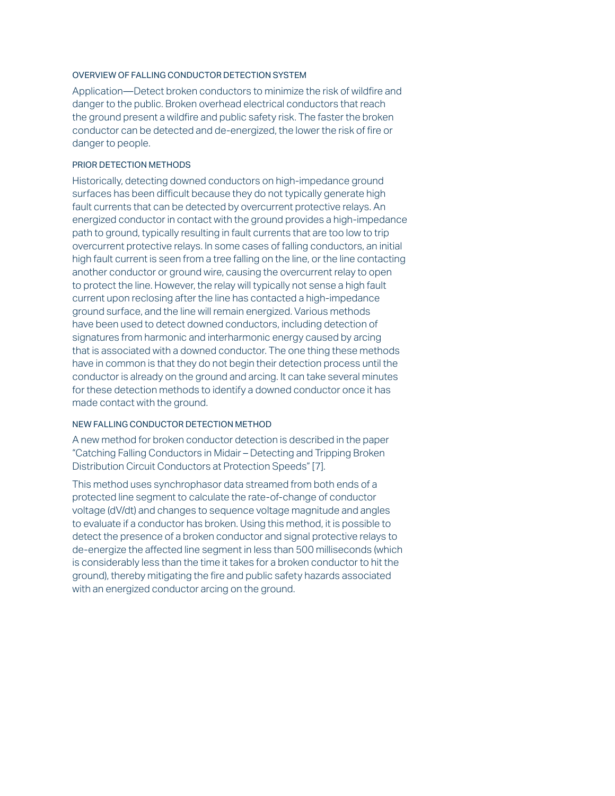## OVERVIEW OF FALLING CONDUCTOR DETECTION SYSTEM

Application—Detect broken conductors to minimize the risk of wildfire and danger to the public. Broken overhead electrical conductors that reach the ground present a wildfire and public safety risk. The faster the broken conductor can be detected and de-energized, the lower the risk of fire or danger to people.

## PRIOR DETECTION METHODS

Historically, detecting downed conductors on high-impedance ground surfaces has been difficult because they do not typically generate high fault currents that can be detected by overcurrent protective relays. An energized conductor in contact with the ground provides a high-impedance path to ground, typically resulting in fault currents that are too low to trip overcurrent protective relays. In some cases of falling conductors, an initial high fault current is seen from a tree falling on the line, or the line contacting another conductor or ground wire, causing the overcurrent relay to open to protect the line. However, the relay will typically not sense a high fault current upon reclosing after the line has contacted a high-impedance ground surface, and the line will remain energized. Various methods have been used to detect downed conductors, including detection of signatures from harmonic and interharmonic energy caused by arcing that is associated with a downed conductor. The one thing these methods have in common is that they do not begin their detection process until the conductor is already on the ground and arcing. It can take several minutes for these detection methods to identify a downed conductor once it has made contact with the ground.

## NEW FALLING CONDUCTOR DETECTION METHOD

A new method for broken conductor detection is described in the paper "Catching Falling Conductors in Midair – Detecting and Tripping Broken Distribution Circuit Conductors at Protection Speeds" [7].

This method uses synchrophasor data streamed from both ends of a protected line segment to calculate the rate-of-change of conductor voltage (dV/dt) and changes to sequence voltage magnitude and angles to evaluate if a conductor has broken. Using this method, it is possible to detect the presence of a broken conductor and signal protective relays to de-energize the affected line segment in less than 500 milliseconds (which is considerably less than the time it takes for a broken conductor to hit the ground), thereby mitigating the fire and public safety hazards associated with an energized conductor arcing on the ground.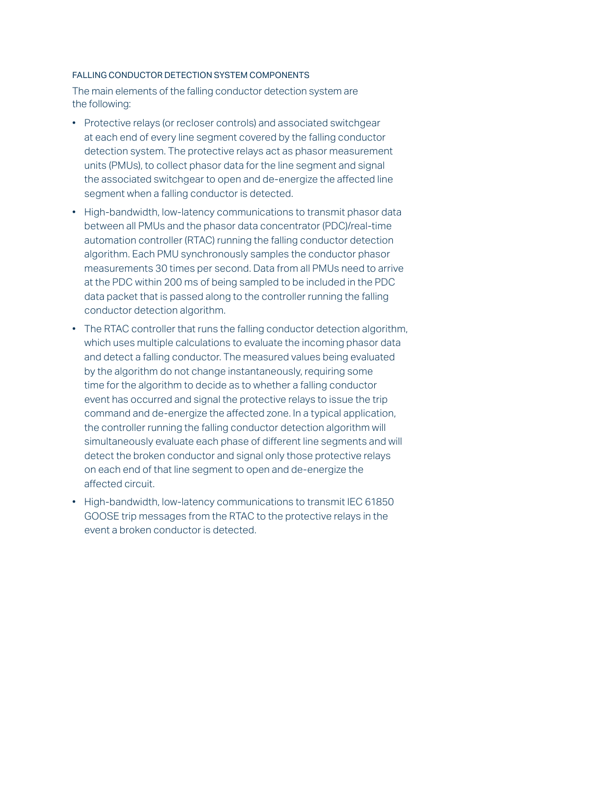## FALLING CONDUCTOR DETECTION SYSTEM COMPONENTS

The main elements of the falling conductor detection system are the following:

- Protective relays (or recloser controls) and associated switchgear at each end of every line segment covered by the falling conductor detection system. The protective relays act as phasor measurement units (PMUs), to collect phasor data for the line segment and signal the associated switchgear to open and de-energize the affected line segment when a falling conductor is detected.
- High-bandwidth, low-latency communications to transmit phasor data between all PMUs and the phasor data concentrator (PDC)/real-time automation controller (RTAC) running the falling conductor detection algorithm. Each PMU synchronously samples the conductor phasor measurements 30 times per second. Data from all PMUs need to arrive at the PDC within 200 ms of being sampled to be included in the PDC data packet that is passed along to the controller running the falling conductor detection algorithm.
- The RTAC controller that runs the falling conductor detection algorithm, which uses multiple calculations to evaluate the incoming phasor data and detect a falling conductor. The measured values being evaluated by the algorithm do not change instantaneously, requiring some time for the algorithm to decide as to whether a falling conductor event has occurred and signal the protective relays to issue the trip command and de-energize the affected zone. In a typical application, the controller running the falling conductor detection algorithm will simultaneously evaluate each phase of different line segments and will detect the broken conductor and signal only those protective relays on each end of that line segment to open and de-energize the affected circuit.
- High-bandwidth, low-latency communications to transmit IEC 61850 GOOSE trip messages from the RTAC to the protective relays in the event a broken conductor is detected.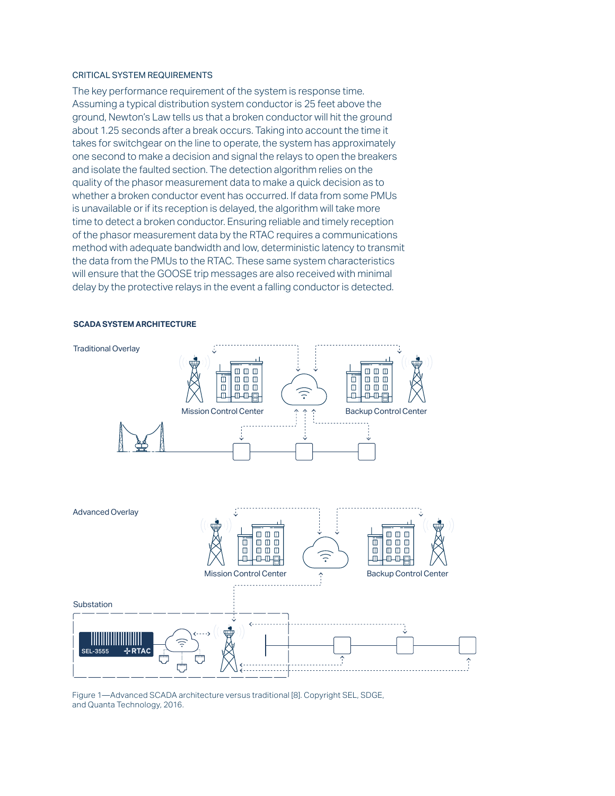#### CRITICAL SYSTEM REQUIREMENTS

The key performance requirement of the system is response time. Assuming a typical distribution system conductor is 25 feet above the ground, Newton's Law tells us that a broken conductor will hit the ground about 1.25 seconds after a break occurs. Taking into account the time it takes for switchgear on the line to operate, the system has approximately one second to make a decision and signal the relays to open the breakers and isolate the faulted section. The detection algorithm relies on the quality of the phasor measurement data to make a quick decision as to whether a broken conductor event has occurred. If data from some PMUs is unavailable or if its reception is delayed, the algorithm will take more time to detect a broken conductor. Ensuring reliable and timely reception of the phasor measurement data by the RTAC requires a communications method with adequate bandwidth and low, deterministic latency to transmit the data from the PMUs to the RTAC. These same system characteristics will ensure that the GOOSE trip messages are also received with minimal delay by the protective relays in the event a falling conductor is detected.



#### **SCADA SYSTEM ARCHITECTURE**

Figure 1—Advanced SCADA architecture versus traditional [8]. Copyright SEL, SDGE, and Quanta Technology, 2016.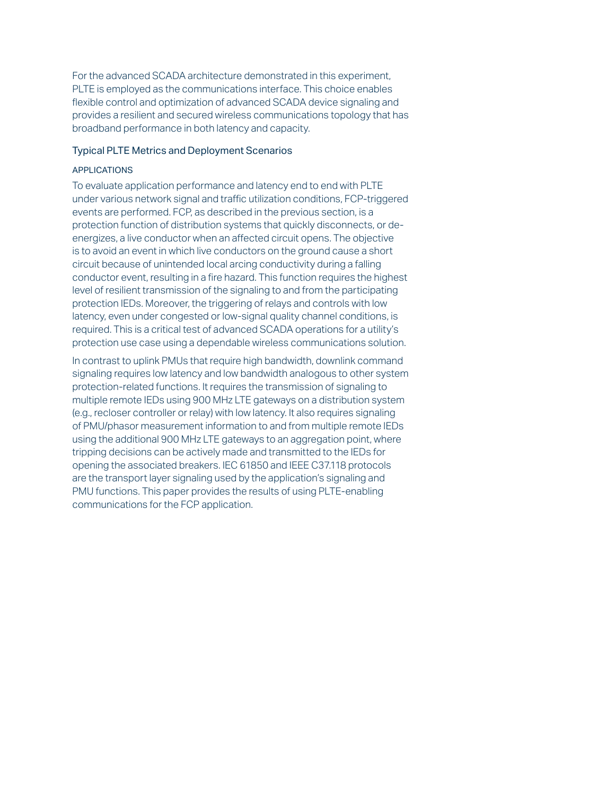For the advanced SCADA architecture demonstrated in this experiment, PLTE is employed as the communications interface. This choice enables flexible control and optimization of advanced SCADA device signaling and provides a resilient and secured wireless communications topology that has broadband performance in both latency and capacity.

## Typical PLTE Metrics and Deployment Scenarios

## APPLICATIONS

To evaluate application performance and latency end to end with PLTE under various network signal and traffic utilization conditions, FCP-triggered events are performed. FCP, as described in the previous section, is a protection function of distribution systems that quickly disconnects, or deenergizes, a live conductor when an affected circuit opens. The objective is to avoid an event in which live conductors on the ground cause a short circuit because of unintended local arcing conductivity during a falling conductor event, resulting in a fire hazard. This function requires the highest level of resilient transmission of the signaling to and from the participating protection IEDs. Moreover, the triggering of relays and controls with low latency, even under congested or low-signal quality channel conditions, is required. This is a critical test of advanced SCADA operations for a utility's protection use case using a dependable wireless communications solution.

In contrast to uplink PMUs that require high bandwidth, downlink command signaling requires low latency and low bandwidth analogous to other system protection-related functions. It requires the transmission of signaling to multiple remote IEDs using 900 MHz LTE gateways on a distribution system (e.g., recloser controller or relay) with low latency. It also requires signaling of PMU/phasor measurement information to and from multiple remote IEDs using the additional 900 MHz LTE gateways to an aggregation point, where tripping decisions can be actively made and transmitted to the IEDs for opening the associated breakers. IEC 61850 and IEEE C37.118 protocols are the transport layer signaling used by the application's signaling and PMU functions. This paper provides the results of using PLTE-enabling communications for the FCP application.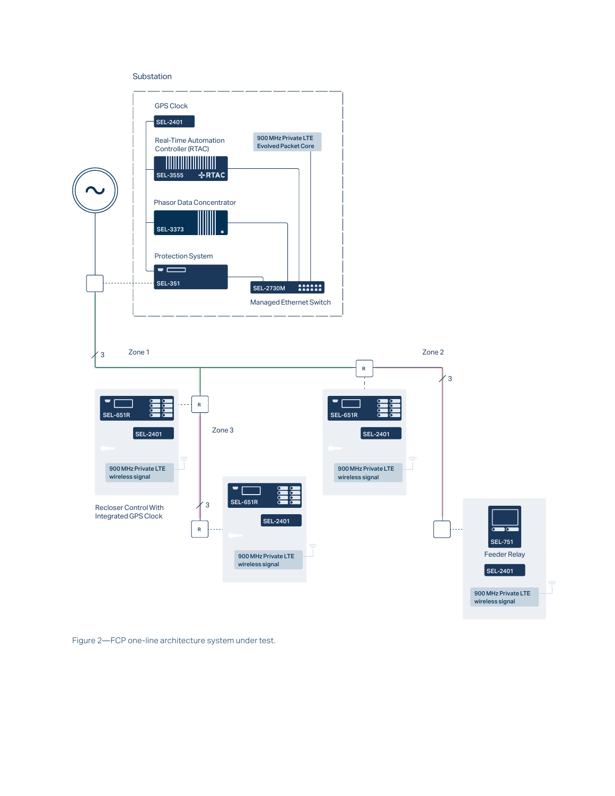#### Substation



Figure 2—FCP one-line architecture system under test.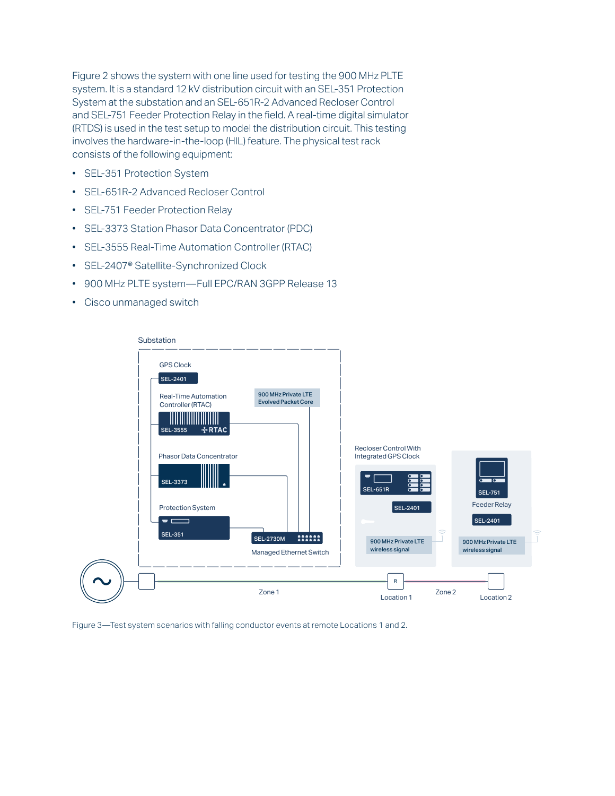Figure 2 shows the system with one line used for testing the 900 MHz PLTE system. It is a standard 12 kV distribution circuit with an SEL-351 Protection System at the substation and an SEL-651R-2 Advanced Recloser Control and SEL-751 Feeder Protection Relay in the field. A real-time digital simulator (RTDS) is used in the test setup to model the distribution circuit. This testing involves the hardware-in-the-loop (HIL) feature. The physical test rack consists of the following equipment:

- SEL-351 Protection System
- SEL-651R-2 Advanced Recloser Control
- SEL-751 Feeder Protection Relay
- SEL-3373 Station Phasor Data Concentrator (PDC)
- SEL-3555 Real-Time Automation Controller (RTAC)
- SEL-2407® Satellite-Synchronized Clock
- 900 MHz PLTE system—Full EPC/RAN 3GPP Release 13
- Cisco unmanaged switch



Figure 3—Test system scenarios with falling conductor events at remote Locations 1 and 2.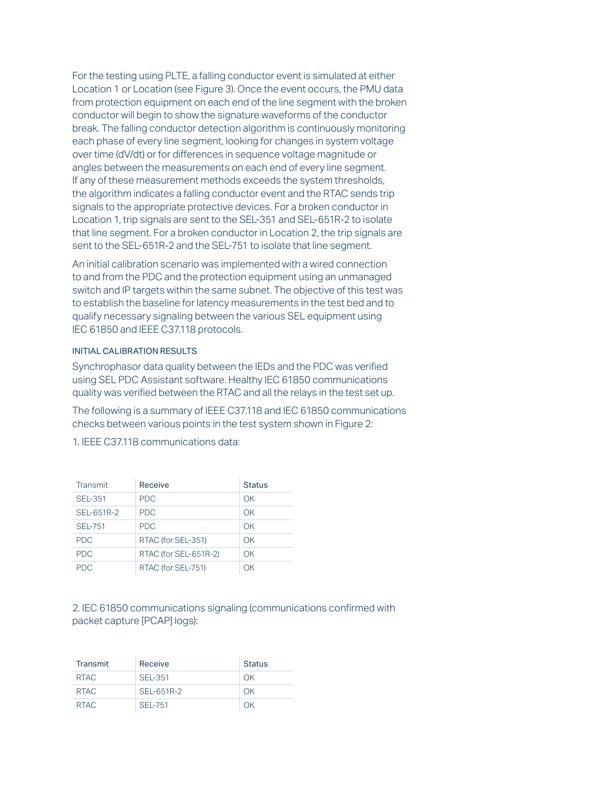For the testing using PLTE, a falling conductor event is simulated at either Location 1 or Location (see Figure 3). Once the event occurs, the PMU data from protection equipment on each end of the line segment with the broken conductor will begin to show the signature waveforms of the conductor break. The falling conductor detection algorithm is continuously monitoring each phase of every line segment, looking for changes in system voltage over time (dV/dt) or for differences in sequence voltage magnitude or angles between the measurements on each end of every line segment. If any of these measurement methods exceeds the system thresholds, the algorithm indicates a falling conductor event and the RTAC sends trip signals to the appropriate protective devices. For a broken conductor in Location 1, trip signals are sent to the SEL-351 and SEL-651R-2 to isolate that line segment. For a broken conductor in Location 2, the trip signals are sent to the SEL-651R-2 and the SEL-751 to isolate that line segment.

An initial calibration scenario was implemented with a wired connection to and from the PDC and the protection equipment using an unmanaged switch and IP targets within the same subnet. The objective of this test was to establish the baseline for latency measurements in the test bed and to qualify necessary signaling between the various SEL equipment using IEC 61850 and IEEE C37.118 protocols.

## INITIAL CALIBRATION RESULTS

Synchrophasor data quality between the IEDs and the PDC was verified using SEL PDC Assistant software. Healthy IEC 61850 communications quality was verified between the RTAC and all the relays in the test set up.

The following is a summary of IEEE C37.118 and IEC 61850 communications checks between various points in the test system shown in Figure 2:

| Transmit       | Receive               | <b>Status</b> |
|----------------|-----------------------|---------------|
| <b>SEL-351</b> | <b>PDC</b>            | OK            |
| SEL-651R-2     | <b>PDC</b>            | OK            |
| <b>SEL-751</b> | <b>PDC</b>            | OK            |
| <b>PDC</b>     | RTAC (for SEL-351)    | OK            |
| <b>PDC</b>     | RTAC (for SEL-651R-2) | OK            |
| PDC.           | RTAC (for SEL-751)    | ΩK            |

1. IEEE C37.118 communications data:

2. IEC 61850 communications signaling (communications confirmed with packet capture [PCAP] logs):

| <b>Transmit</b> | Receive        | <b>Status</b> |
|-----------------|----------------|---------------|
| RTAC            | <b>SEL-351</b> | OK            |
| RTAC            | SEL-651R-2     | OK            |
| RTAC            | SFI-751        | OK            |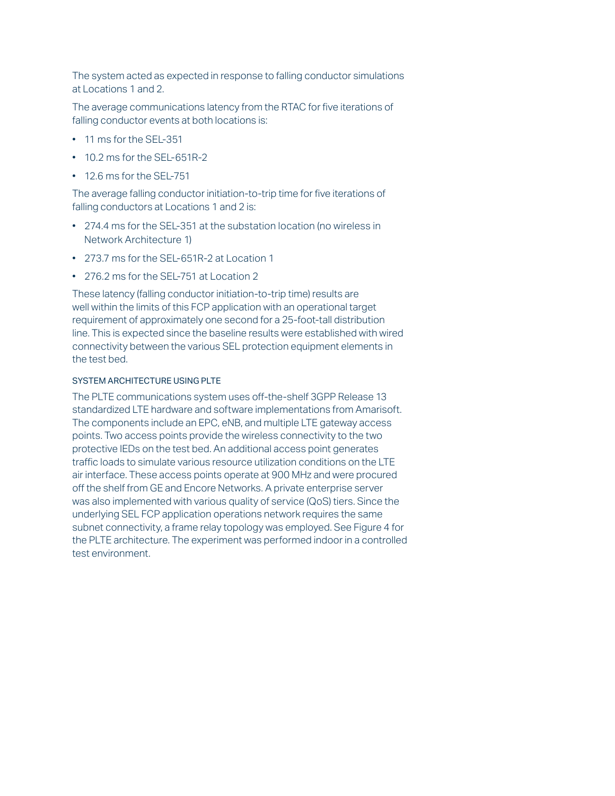The system acted as expected in response to falling conductor simulations at Locations 1 and 2.

The average communications latency from the RTAC for five iterations of falling conductor events at both locations is:

- 11 ms for the SEL-351
- $\cdot$  10.2 ms for the SFI-651R-2
- 12.6 ms for the SEL-751

The average falling conductor initiation-to-trip time for five iterations of falling conductors at Locations 1 and 2 is:

- 274.4 ms for the SEL-351 at the substation location (no wireless in Network Architecture 1)
- 273.7 ms for the SEL-651R-2 at Location 1
- 276.2 ms for the SEL-751 at Location 2

These latency (falling conductor initiation-to-trip time) results are well within the limits of this FCP application with an operational target requirement of approximately one second for a 25-foot-tall distribution line. This is expected since the baseline results were established with wired connectivity between the various SEL protection equipment elements in the test bed.

## SYSTEM ARCHITECTURE USING PLTE

The PLTE communications system uses off-the-shelf 3GPP Release 13 standardized LTE hardware and software implementations from Amarisoft. The components include an EPC, eNB, and multiple LTE gateway access points. Two access points provide the wireless connectivity to the two protective IEDs on the test bed. An additional access point generates traffic loads to simulate various resource utilization conditions on the LTE air interface. These access points operate at 900 MHz and were procured off the shelf from GE and Encore Networks. A private enterprise server was also implemented with various quality of service (QoS) tiers. Since the underlying SEL FCP application operations network requires the same subnet connectivity, a frame relay topology was employed. See Figure 4 for the PLTE architecture. The experiment was performed indoor in a controlled test environment.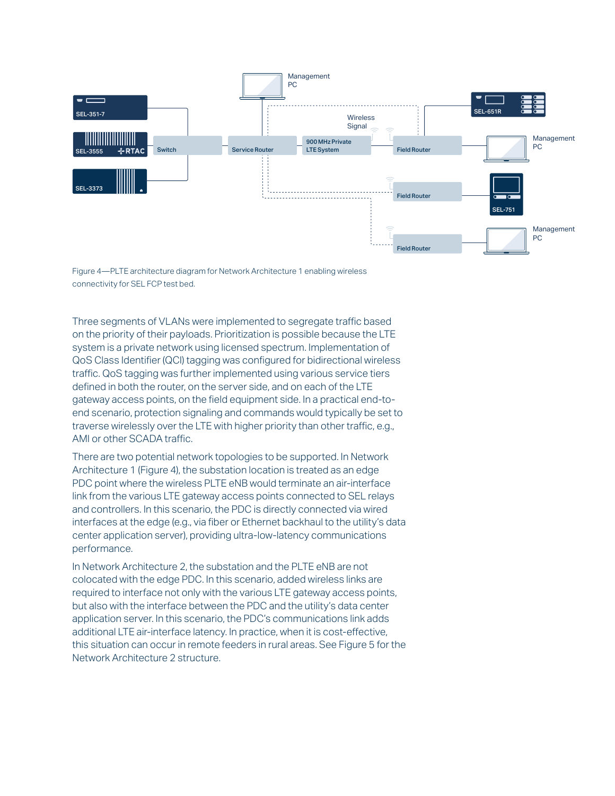

Figure 4—PLTE architecture diagram for Network Architecture 1 enabling wireless connectivity for SEL FCP test bed.

Three segments of VLANs were implemented to segregate traffic based on the priority of their payloads. Prioritization is possible because the LTE system is a private network using licensed spectrum. Implementation of QoS Class Identifier (QCI) tagging was configured for bidirectional wireless traffic. QoS tagging was further implemented using various service tiers defined in both the router, on the server side, and on each of the LTE gateway access points, on the field equipment side. In a practical end-toend scenario, protection signaling and commands would typically be set to traverse wirelessly over the LTE with higher priority than other traffic, e.g., AMI or other SCADA traffic.

There are two potential network topologies to be supported. In Network Architecture 1 (Figure 4), the substation location is treated as an edge PDC point where the wireless PLTE eNB would terminate an air-interface link from the various LTE gateway access points connected to SEL relays and controllers. In this scenario, the PDC is directly connected via wired interfaces at the edge (e.g., via fiber or Ethernet backhaul to the utility's data center application server), providing ultra-low-latency communications performance.

In Network Architecture 2, the substation and the PLTE eNB are not colocated with the edge PDC. In this scenario, added wireless links are required to interface not only with the various LTE gateway access points, but also with the interface between the PDC and the utility's data center application server. In this scenario, the PDC's communications link adds additional LTE air-interface latency. In practice, when it is cost-effective, this situation can occur in remote feeders in rural areas. See Figure 5 for the Network Architecture 2 structure.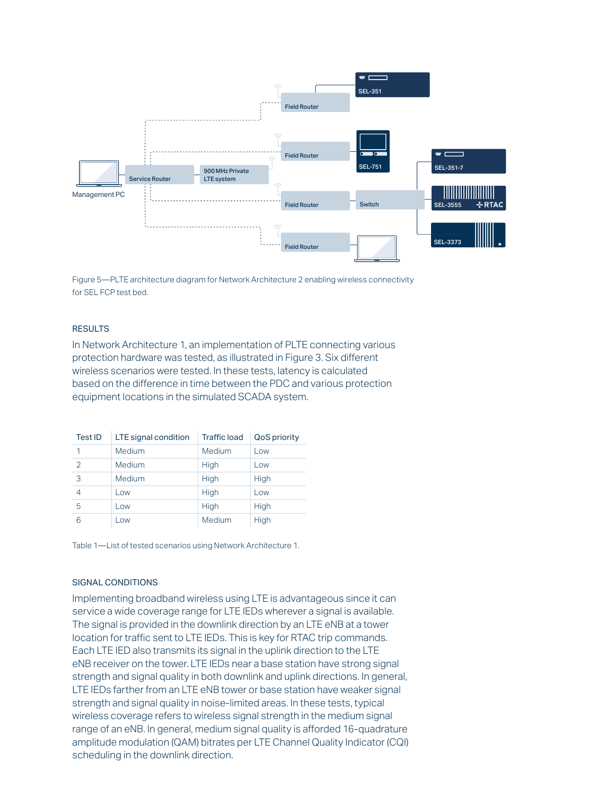

Figure 5—PLTE architecture diagram for Network Architecture 2 enabling wireless connectivity for SEL FCP test bed.

#### **RESULTS**

In Network Architecture 1, an implementation of PLTE connecting various protection hardware was tested, as illustrated in Figure 3. Six different wireless scenarios were tested. In these tests, latency is calculated based on the difference in time between the PDC and various protection equipment locations in the simulated SCADA system.

| Test ID | LTE signal condition | <b>Traffic load</b> | <b>QoS priority</b> |
|---------|----------------------|---------------------|---------------------|
| 1       | Medium               | Medium              | Low                 |
| 2       | Medium               | High                | Low                 |
| 3       | Medium               | High                | High                |
| 4       | Low                  | High                | Low                 |
| 5       | Low                  | High                | High                |
| 6       | Low                  | Medium              | High                |

Table 1—List of tested scenarios using Network Architecture 1.

## SIGNAL CONDITIONS

Implementing broadband wireless using LTE is advantageous since it can service a wide coverage range for LTE IEDs wherever a signal is available. The signal is provided in the downlink direction by an LTE eNB at a tower location for traffic sent to LTE IEDs. This is key for RTAC trip commands. Each LTE IED also transmits its signal in the uplink direction to the LTE eNB receiver on the tower. LTE IEDs near a base station have strong signal strength and signal quality in both downlink and uplink directions. In general, LTE IEDs farther from an LTE eNB tower or base station have weaker signal strength and signal quality in noise-limited areas. In these tests, typical wireless coverage refers to wireless signal strength in the medium signal range of an eNB. In general, medium signal quality is afforded 16-quadrature amplitude modulation (QAM) bitrates per LTE Channel Quality Indicator (CQI) scheduling in the downlink direction.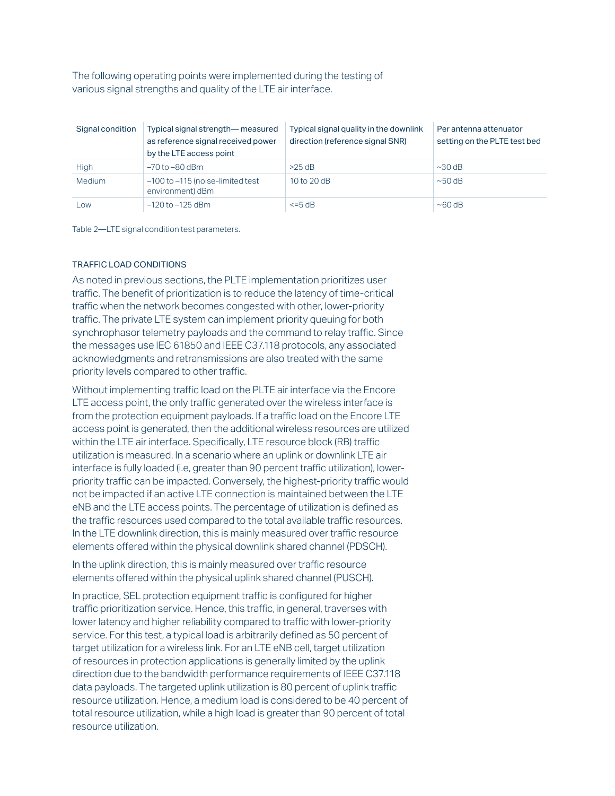The following operating points were implemented during the testing of various signal strengths and quality of the LTE air interface.

| Signal condition | Typical signal strength— measured<br>as reference signal received power<br>by the LTE access point | Typical signal quality in the downlink<br>direction (reference signal SNR) | Per antenna attenuator<br>setting on the PLTE test bed |
|------------------|----------------------------------------------------------------------------------------------------|----------------------------------------------------------------------------|--------------------------------------------------------|
| High             | $-70$ to $-80$ dBm                                                                                 | >25 dB                                                                     | $\sim$ 30 dB                                           |
| Medium           | -100 to -115 (noise-limited test<br>environment) dBm                                               | 10 to 20 dB                                                                | $\sim$ 50 dB                                           |
| Low              | $-120$ to $-125$ dBm                                                                               | $\leq$ =5 dB                                                               | $~\sim$ 60 dB                                          |

Table 2—LTE signal condition test parameters.

## TRAFFIC LOAD CONDITIONS

As noted in previous sections, the PLTE implementation prioritizes user traffic. The benefit of prioritization is to reduce the latency of time-critical traffic when the network becomes congested with other, lower-priority traffic. The private LTE system can implement priority queuing for both synchrophasor telemetry payloads and the command to relay traffic. Since the messages use IEC 61850 and IEEE C37.118 protocols, any associated acknowledgments and retransmissions are also treated with the same priority levels compared to other traffic.

Without implementing traffic load on the PLTE air interface via the Encore LTE access point, the only traffic generated over the wireless interface is from the protection equipment payloads. If a traffic load on the Encore LTE access point is generated, then the additional wireless resources are utilized within the LTE air interface. Specifically, LTE resource block (RB) traffic utilization is measured. In a scenario where an uplink or downlink LTE air interface is fully loaded (i.e, greater than 90 percent traffic utilization), lowerpriority traffic can be impacted. Conversely, the highest-priority traffic would not be impacted if an active LTE connection is maintained between the LTE eNB and the LTE access points. The percentage of utilization is defined as the traffic resources used compared to the total available traffic resources. In the LTE downlink direction, this is mainly measured over traffic resource elements offered within the physical downlink shared channel (PDSCH).

In the uplink direction, this is mainly measured over traffic resource elements offered within the physical uplink shared channel (PUSCH).

In practice, SEL protection equipment traffic is configured for higher traffic prioritization service. Hence, this traffic, in general, traverses with lower latency and higher reliability compared to traffic with lower-priority service. For this test, a typical load is arbitrarily defined as 50 percent of target utilization for a wireless link. For an LTE eNB cell, target utilization of resources in protection applications is generally limited by the uplink direction due to the bandwidth performance requirements of IEEE C37.118 data payloads. The targeted uplink utilization is 80 percent of uplink traffic resource utilization. Hence, a medium load is considered to be 40 percent of total resource utilization, while a high load is greater than 90 percent of total resource utilization.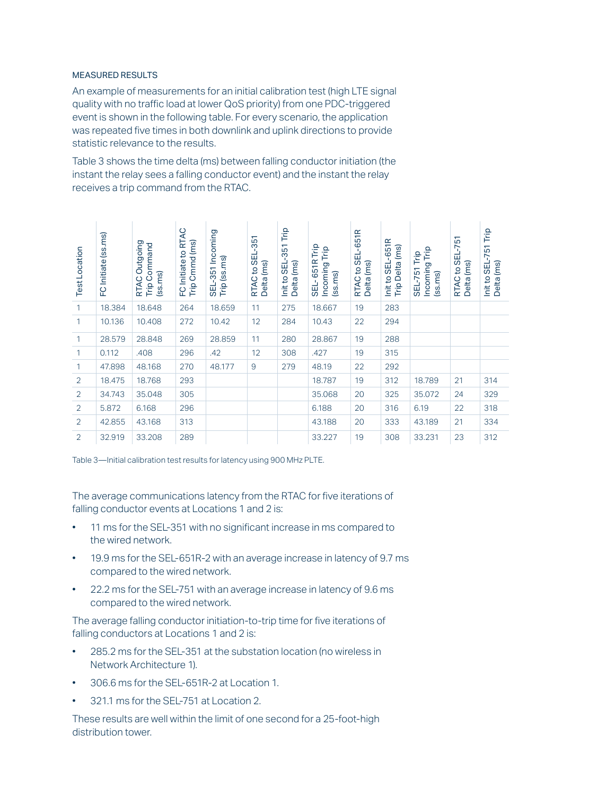### MEASURED RESULTS

An example of measurements for an initial calibration test (high LTE signal quality with no traffic load at lower QoS priority) from one PDC-triggered event is shown in the following table. For every scenario, the application was repeated five times in both downlink and uplink directions to provide statistic relevance to the results.

Table 3 shows the time delta (ms) between falling conductor initiation (the instant the relay sees a falling conductor event) and the instant the relay receives a trip command from the RTAC.

| <b>Test Location</b> | FC Initiate (ss.ms) | Outgoing<br>Trip Command<br>(ss.ms)<br>RTAC | FC Initiate to RTAC<br>Trip Cmmd (ms) | SEL-351 Incoming<br>Trip (ss.ms) | to SEL-351<br>Delta (ms)<br>RTAC | Trip<br>Init to SEL-351<br>Delta (ms) | 651R Trip<br>Incoming Trip<br>(ss.ms)<br>SEL- | RTAC to SEL-651R<br>Delta (ms) | Init to SEL-651R<br>Trip Delta (ms) | Trip<br>Trip<br>Incoming<br><b>SEL-751</b><br>(ss.ms) | to SEL-751<br>(ms)<br>RTAC<br><b>Delta</b> | Trip<br>$-751$<br>(ms)<br>Init to SEL<br>Delta |
|----------------------|---------------------|---------------------------------------------|---------------------------------------|----------------------------------|----------------------------------|---------------------------------------|-----------------------------------------------|--------------------------------|-------------------------------------|-------------------------------------------------------|--------------------------------------------|------------------------------------------------|
| 1                    | 18.384              | 18.648                                      | 264                                   | 18.659                           | 11                               | 275                                   | 18.667                                        | 19                             | 283                                 |                                                       |                                            |                                                |
| 1                    | 10.136              | 10.408                                      | 272                                   | 10.42                            | 12                               | 284                                   | 10.43                                         | 22                             | 294                                 |                                                       |                                            |                                                |
| 1                    | 28.579              | 28.848                                      | 269                                   | 28.859                           | 11                               | 280                                   | 28.867                                        | 19                             | 288                                 |                                                       |                                            |                                                |
| 1                    | 0.112               | .408                                        | 296                                   | .42                              | 12                               | 308                                   | .427                                          | 19                             | 315                                 |                                                       |                                            |                                                |
| $\mathbf{1}$         | 47.898              | 48.168                                      | 270                                   | 48.177                           | 9                                | 279                                   | 48.19                                         | 22                             | 292                                 |                                                       |                                            |                                                |
| 2                    | 18.475              | 18.768                                      | 293                                   |                                  |                                  |                                       | 18.787                                        | 19                             | 312                                 | 18.789                                                | 21                                         | 314                                            |
| 2                    | 34.743              | 35.048                                      | 305                                   |                                  |                                  |                                       | 35.068                                        | 20                             | 325                                 | 35.072                                                | 24                                         | 329                                            |
| 2                    | 5.872               | 6.168                                       | 296                                   |                                  |                                  |                                       | 6.188                                         | 20                             | 316                                 | 6.19                                                  | 22                                         | 318                                            |
| 2                    | 42.855              | 43.168                                      | 313                                   |                                  |                                  |                                       | 43.188                                        | 20                             | 333                                 | 43.189                                                | 21                                         | 334                                            |
| 2                    | 32.919              | 33.208                                      | 289                                   |                                  |                                  |                                       | 33.227                                        | 19                             | 308                                 | 33.231                                                | 23                                         | 312                                            |

Table 3—Initial calibration test results for latency using 900 MHz PLTE.

The average communications latency from the RTAC for five iterations of falling conductor events at Locations 1 and 2 is:

- 11 ms for the SEL-351 with no significant increase in ms compared to the wired network.
- 19.9 ms for the SEL-651R-2 with an average increase in latency of 9.7 ms compared to the wired network.
- 22.2 ms for the SEL-751 with an average increase in latency of 9.6 ms compared to the wired network.

The average falling conductor initiation-to-trip time for five iterations of falling conductors at Locations 1 and 2 is:

- 285.2 ms for the SEL-351 at the substation location (no wireless in Network Architecture 1).
- 306.6 ms for the SEL-651R-2 at Location 1.
- 321.1 ms for the SEL-751 at Location 2.

These results are well within the limit of one second for a 25-foot-high distribution tower.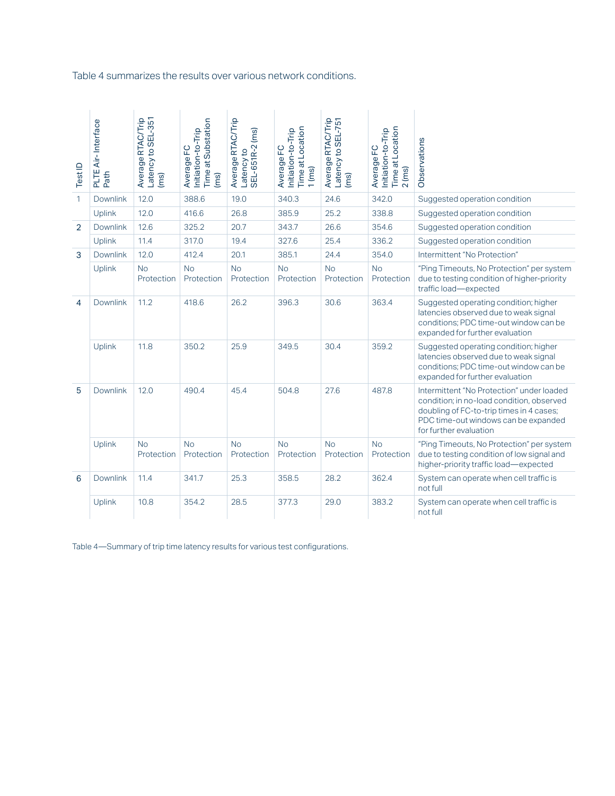Table 4 summarizes the results over various network conditions.

| TestID         | PLTE Air-Interface<br>Path | Latency to SEL-351<br>Average RTAC/Trip<br>(ms) | Time at Substation<br>Initiation-to-Trip<br>Average FC<br>(ms) | Average RTAC/Trip<br>SEL-651R-2 (ms)<br>Latency to | Time at Location<br>Initiation-to-Trip<br>Average FC<br>$1$ (ms) | Average RTAC/Trip<br>Latency to SEL-751<br>(ms) | Time at Location<br>Initiation-to-Trip<br>Average FC<br>$2$ (ms) | Observations                                                                                                                                                                                         |
|----------------|----------------------------|-------------------------------------------------|----------------------------------------------------------------|----------------------------------------------------|------------------------------------------------------------------|-------------------------------------------------|------------------------------------------------------------------|------------------------------------------------------------------------------------------------------------------------------------------------------------------------------------------------------|
| 1              | <b>Downlink</b>            | 12.0                                            | 388.6                                                          | 19.0                                               | 340.3                                                            | 24.6                                            | 342.0                                                            | Suggested operation condition                                                                                                                                                                        |
|                | <b>Uplink</b>              | 12.0                                            | 416.6                                                          | 26.8                                               | 385.9                                                            | 25.2                                            | 338.8                                                            | Suggested operation condition                                                                                                                                                                        |
| $\overline{2}$ | <b>Downlink</b>            | 12.6                                            | 325.2                                                          | 20.7                                               | 343.7                                                            | 26.6                                            | 354.6                                                            | Suggested operation condition                                                                                                                                                                        |
|                | Uplink                     | 11.4                                            | 317.0                                                          | 19.4                                               | 327.6                                                            | 25.4                                            | 336.2                                                            | Suggested operation condition                                                                                                                                                                        |
| 3              | <b>Downlink</b>            | 12.0                                            | 412.4                                                          | 20.1                                               | 385.1                                                            | 24.4                                            | 354.0                                                            | Intermittent "No Protection"                                                                                                                                                                         |
|                | Uplink                     | <b>No</b><br>Protection                         | <b>No</b><br>Protection                                        | <b>No</b><br>Protection                            | <b>No</b><br>Protection                                          | <b>No</b><br>Protection                         | <b>No</b><br>Protection                                          | "Ping Timeouts, No Protection" per system<br>due to testing condition of higher-priority<br>traffic load-expected                                                                                    |
| 4              | <b>Downlink</b>            | 11.2                                            | 418.6                                                          | 26.2                                               | 396.3                                                            | 30.6                                            | 363.4                                                            | Suggested operating condition; higher<br>latencies observed due to weak signal<br>conditions; PDC time-out window can be<br>expanded for further evaluation                                          |
|                | Uplink                     | 11.8                                            | 350.2                                                          | 25.9                                               | 349.5                                                            | 30.4                                            | 359.2                                                            | Suggested operating condition; higher<br>latencies observed due to weak signal<br>conditions; PDC time-out window can be<br>expanded for further evaluation                                          |
| 5              | <b>Downlink</b>            | 12.0                                            | 490.4                                                          | 45.4                                               | 504.8                                                            | 27.6                                            | 487.8                                                            | Intermittent "No Protection" under loaded<br>condition; in no-load condition, observed<br>doubling of FC-to-trip times in 4 cases;<br>PDC time-out windows can be expanded<br>for further evaluation |
|                | Uplink                     | <b>No</b><br>Protection                         | No<br>Protection                                               | No<br>Protection                                   | No<br>Protection                                                 | No<br>Protection                                | No<br>Protection                                                 | "Ping Timeouts, No Protection" per system<br>due to testing condition of low signal and<br>higher-priority traffic load-expected                                                                     |
| 6              | <b>Downlink</b>            | 11.4                                            | 341.7                                                          | 25.3                                               | 358.5                                                            | 28.2                                            | 362.4                                                            | System can operate when cell traffic is<br>not full                                                                                                                                                  |
|                | Uplink                     | 10.8                                            | 354.2                                                          | 28.5                                               | 377.3                                                            | 29.0                                            | 383.2                                                            | System can operate when cell traffic is<br>not full                                                                                                                                                  |

Table 4—Summary of trip time latency results for various test configurations.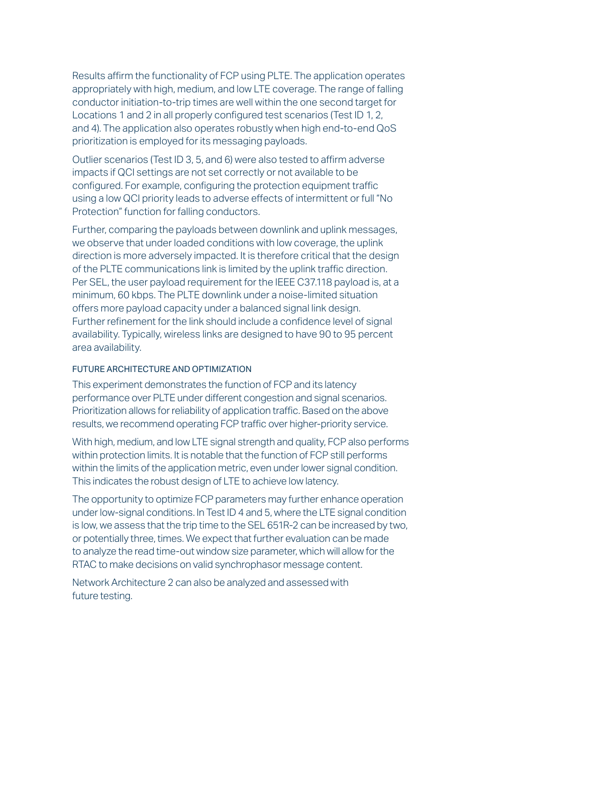Results affirm the functionality of FCP using PLTE. The application operates appropriately with high, medium, and low LTE coverage. The range of falling conductor initiation-to-trip times are well within the one second target for Locations 1 and 2 in all properly configured test scenarios (Test ID 1, 2, and 4). The application also operates robustly when high end-to-end QoS prioritization is employed for its messaging payloads.

Outlier scenarios (Test ID 3, 5, and 6) were also tested to affirm adverse impacts if QCI settings are not set correctly or not available to be configured. For example, configuring the protection equipment traffic using a low QCI priority leads to adverse effects of intermittent or full "No Protection" function for falling conductors.

Further, comparing the payloads between downlink and uplink messages, we observe that under loaded conditions with low coverage, the uplink direction is more adversely impacted. It is therefore critical that the design of the PLTE communications link is limited by the uplink traffic direction. Per SEL, the user payload requirement for the IEEE C37.118 payload is, at a minimum, 60 kbps. The PLTE downlink under a noise-limited situation offers more payload capacity under a balanced signal link design. Further refinement for the link should include a confidence level of signal availability. Typically, wireless links are designed to have 90 to 95 percent area availability.

## FUTURE ARCHITECTURE AND OPTIMIZATION

This experiment demonstrates the function of FCP and its latency performance over PLTE under different congestion and signal scenarios. Prioritization allows for reliability of application traffic. Based on the above results, we recommend operating FCP traffic over higher-priority service.

With high, medium, and low LTE signal strength and quality, FCP also performs within protection limits. It is notable that the function of FCP still performs within the limits of the application metric, even under lower signal condition. This indicates the robust design of LTE to achieve low latency.

The opportunity to optimize FCP parameters may further enhance operation under low-signal conditions. In Test ID 4 and 5, where the LTE signal condition is low, we assess that the trip time to the SEL 651R-2 can be increased by two, or potentially three, times. We expect that further evaluation can be made to analyze the read time-out window size parameter, which will allow for the RTAC to make decisions on valid synchrophasor message content.

Network Architecture 2 can also be analyzed and assessed with future testing.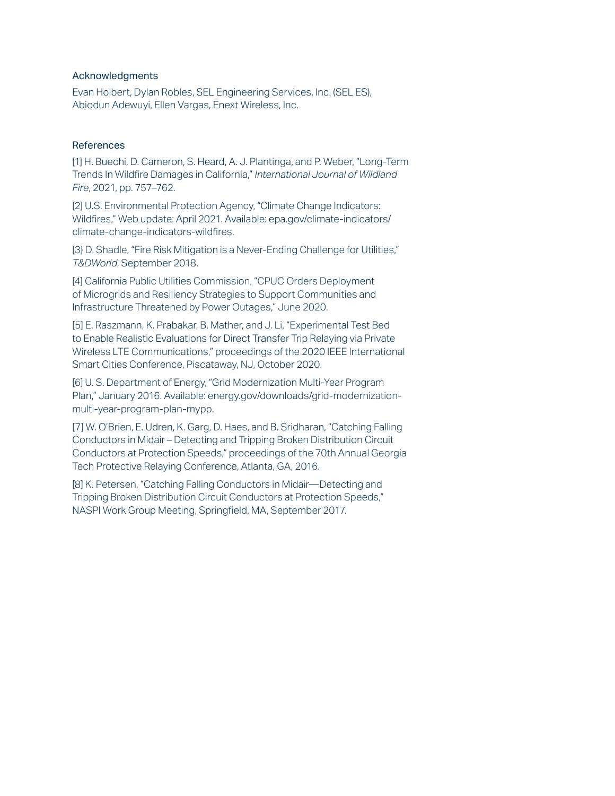## Acknowledgments

Evan Holbert, Dylan Robles, SEL Engineering Services, Inc. (SEL ES), Abiodun Adewuyi, Ellen Vargas, Enext Wireless, Inc.

## References

[1] H. Buechi, D. Cameron, S. Heard, A. J. Plantinga, and P. Weber, "Long-Term Trends In Wildfire Damages in California," *International Journal of Wildland Fire*, 2021, pp. 757–762.

[2] U.S. Environmental Protection Agency, "Climate Change Indicators: Wildfires," Web update: April 2021. Available: epa.gov/climate-indicators/ climate-change-indicators-wildfires.

[3] D. Shadle, "Fire Risk Mitigation is a Never-Ending Challenge for Utilities," *T&DWorld*, September 2018.

[4] California Public Utilities Commission, "CPUC Orders Deployment of Microgrids and Resiliency Strategies to Support Communities and Infrastructure Threatened by Power Outages," June 2020.

[5] E. Raszmann, K. Prabakar, B. Mather, and J. Li, "Experimental Test Bed to Enable Realistic Evaluations for Direct Transfer Trip Relaying via Private Wireless LTE Communications," proceedings of the 2020 IEEE International Smart Cities Conference, Piscataway, NJ, October 2020.

[6] U. S. Department of Energy, "Grid Modernization Multi-Year Program Plan," January 2016. Available: energy.gov/downloads/grid-modernizationmulti-year-program-plan-mypp.

[7] W. O'Brien, E. Udren, K. Garg, D. Haes, and B. Sridharan, "Catching Falling Conductors in Midair – Detecting and Tripping Broken Distribution Circuit Conductors at Protection Speeds," proceedings of the 70th Annual Georgia Tech Protective Relaying Conference, Atlanta, GA, 2016.

[8] K. Petersen, "Catching Falling Conductors in Midair—Detecting and Tripping Broken Distribution Circuit Conductors at Protection Speeds," NASPI Work Group Meeting, Springfield, MA, September 2017.